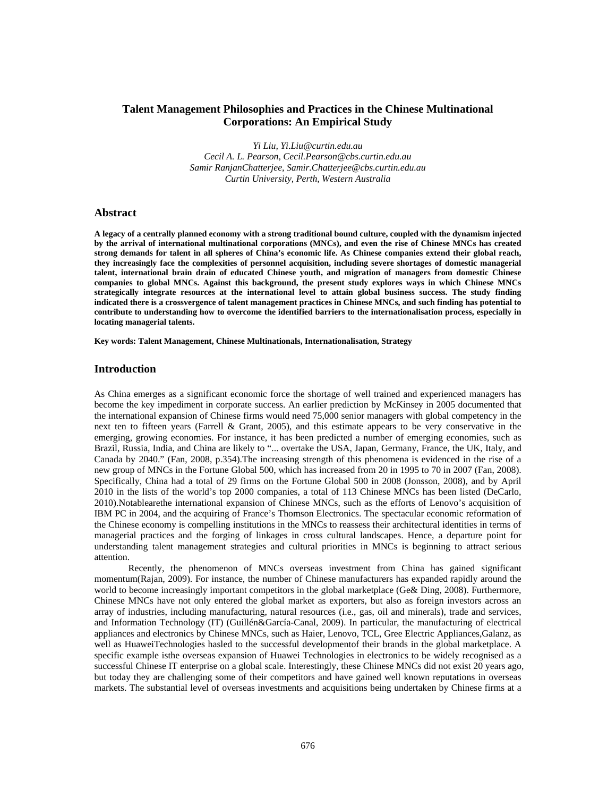# **Talent Management Philosophies and Practices in the Chinese Multinational Corporations: An Empirical Study**

*Yi Liu, Yi.Liu@curtin.edu.au Cecil A. L. Pearson, Cecil.Pearson@cbs.curtin.edu.au Samir RanjanChatterjee, Samir.Chatterjee@cbs.curtin.edu.au Curtin University, Perth, Western Australia*

# **Abstract**

**A legacy of a centrally planned economy with a strong traditional bound culture, coupled with the dynamism injected by the arrival of international multinational corporations (MNCs), and even the rise of Chinese MNCs has created strong demands for talent in all spheres of China's economic life. As Chinese companies extend their global reach, they increasingly face the complexities of personnel acquisition, including severe shortages of domestic managerial talent, international brain drain of educated Chinese youth, and migration of managers from domestic Chinese companies to global MNCs. Against this background, the present study explores ways in which Chinese MNCs strategically integrate resources at the international level to attain global business success. The study finding indicated there is a crossvergence of talent management practices in Chinese MNCs, and such finding has potential to contribute to understanding how to overcome the identified barriers to the internationalisation process, especially in locating managerial talents.** 

**Key words: Talent Management, Chinese Multinationals, Internationalisation, Strategy** 

### **Introduction**

As China emerges as a significant economic force the shortage of well trained and experienced managers has become the key impediment in corporate success. An earlier prediction by McKinsey in 2005 documented that the international expansion of Chinese firms would need 75,000 senior managers with global competency in the next ten to fifteen years (Farrell & Grant, 2005), and this estimate appears to be very conservative in the emerging, growing economies. For instance, it has been predicted a number of emerging economies, such as Brazil, Russia, India, and China are likely to "... overtake the USA, Japan, Germany, France, the UK, Italy, and Canada by 2040." (Fan, 2008, p.354).The increasing strength of this phenomena is evidenced in the rise of a new group of MNCs in the Fortune Global 500, which has increased from 20 in 1995 to 70 in 2007 (Fan, 2008). Specifically, China had a total of 29 firms on the Fortune Global 500 in 2008 (Jonsson, 2008), and by April 2010 in the lists of the world's top 2000 companies, a total of 113 Chinese MNCs has been listed (DeCarlo, 2010).Notablearethe international expansion of Chinese MNCs, such as the efforts of Lenovo's acquisition of IBM PC in 2004, and the acquiring of France's Thomson Electronics. The spectacular economic reformation of the Chinese economy is compelling institutions in the MNCs to reassess their architectural identities in terms of managerial practices and the forging of linkages in cross cultural landscapes. Hence, a departure point for understanding talent management strategies and cultural priorities in MNCs is beginning to attract serious attention.

Recently, the phenomenon of MNCs overseas investment from China has gained significant momentum(Rajan, 2009). For instance, the number of Chinese manufacturers has expanded rapidly around the world to become increasingly important competitors in the global marketplace (Ge& Ding, 2008). Furthermore, Chinese MNCs have not only entered the global market as exporters, but also as foreign investors across an array of industries, including manufacturing, natural resources (i.e., gas, oil and minerals), trade and services, and Information Technology (IT) (Guillén&García-Canal, 2009). In particular, the manufacturing of electrical appliances and electronics by Chinese MNCs, such as Haier, Lenovo, TCL, Gree Electric Appliances,Galanz, as well as HuaweiTechnologies hasled to the successful developmentof their brands in the global marketplace. A specific example isthe overseas expansion of Huawei Technologies in electronics to be widely recognised as a successful Chinese IT enterprise on a global scale. Interestingly, these Chinese MNCs did not exist 20 years ago, but today they are challenging some of their competitors and have gained well known reputations in overseas markets. The substantial level of overseas investments and acquisitions being undertaken by Chinese firms at a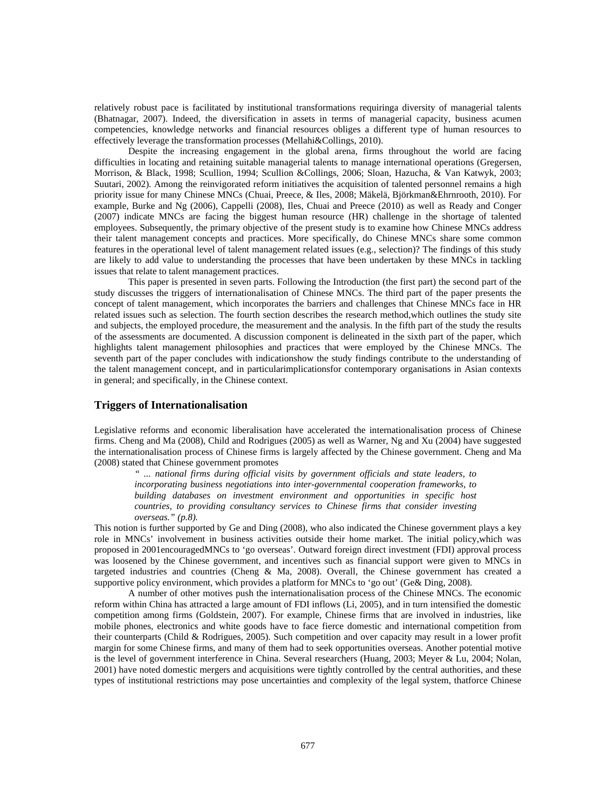relatively robust pace is facilitated by institutional transformations requiringa diversity of managerial talents (Bhatnagar, 2007). Indeed, the diversification in assets in terms of managerial capacity, business acumen competencies, knowledge networks and financial resources obliges a different type of human resources to effectively leverage the transformation processes (Mellahi&Collings, 2010).

Despite the increasing engagement in the global arena, firms throughout the world are facing difficulties in locating and retaining suitable managerial talents to manage international operations (Gregersen, Morrison, & Black, 1998; Scullion, 1994; Scullion &Collings, 2006; Sloan, Hazucha, & Van Katwyk, 2003; Suutari, 2002). Among the reinvigorated reform initiatives the acquisition of talented personnel remains a high priority issue for many Chinese MNCs (Chuai, Preece, & Iles, 2008; Mäkelä, Björkman&Ehrnrooth, 2010). For example, Burke and Ng (2006), Cappelli (2008), Iles, Chuai and Preece (2010) as well as Ready and Conger (2007) indicate MNCs are facing the biggest human resource (HR) challenge in the shortage of talented employees. Subsequently, the primary objective of the present study is to examine how Chinese MNCs address their talent management concepts and practices. More specifically, do Chinese MNCs share some common features in the operational level of talent management related issues (e.g., selection)? The findings of this study are likely to add value to understanding the processes that have been undertaken by these MNCs in tackling issues that relate to talent management practices.

This paper is presented in seven parts. Following the Introduction (the first part) the second part of the study discusses the triggers of internationalisation of Chinese MNCs. The third part of the paper presents the concept of talent management, which incorporates the barriers and challenges that Chinese MNCs face in HR related issues such as selection. The fourth section describes the research method,which outlines the study site and subjects, the employed procedure, the measurement and the analysis. In the fifth part of the study the results of the assessments are documented. A discussion component is delineated in the sixth part of the paper, which highlights talent management philosophies and practices that were employed by the Chinese MNCs. The seventh part of the paper concludes with indicationshow the study findings contribute to the understanding of the talent management concept, and in particularimplicationsfor contemporary organisations in Asian contexts in general; and specifically, in the Chinese context.

# **Triggers of Internationalisation**

Legislative reforms and economic liberalisation have accelerated the internationalisation process of Chinese firms. Cheng and Ma (2008), Child and Rodrigues (2005) as well as Warner, Ng and Xu (2004) have suggested the internationalisation process of Chinese firms is largely affected by the Chinese government. Cheng and Ma (2008) stated that Chinese government promotes

*" ... national firms during official visits by government officials and state leaders, to incorporating business negotiations into inter-governmental cooperation frameworks, to building databases on investment environment and opportunities in specific host countries, to providing consultancy services to Chinese firms that consider investing overseas." (p.8).* 

This notion is further supported by Ge and Ding (2008), who also indicated the Chinese government plays a key role in MNCs' involvement in business activities outside their home market. The initial policy,which was proposed in 2001encouragedMNCs to 'go overseas'. Outward foreign direct investment (FDI) approval process was loosened by the Chinese government, and incentives such as financial support were given to MNCs in targeted industries and countries (Cheng & Ma, 2008). Overall, the Chinese government has created a supportive policy environment, which provides a platform for MNCs to 'go out' (Ge& Ding, 2008).

A number of other motives push the internationalisation process of the Chinese MNCs. The economic reform within China has attracted a large amount of FDI inflows (Li, 2005), and in turn intensified the domestic competition among firms (Goldstein, 2007). For example, Chinese firms that are involved in industries, like mobile phones, electronics and white goods have to face fierce domestic and international competition from their counterparts (Child & Rodrigues, 2005). Such competition and over capacity may result in a lower profit margin for some Chinese firms, and many of them had to seek opportunities overseas. Another potential motive is the level of government interference in China. Several researchers (Huang, 2003; Meyer & Lu, 2004; Nolan, 2001) have noted domestic mergers and acquisitions were tightly controlled by the central authorities, and these types of institutional restrictions may pose uncertainties and complexity of the legal system, thatforce Chinese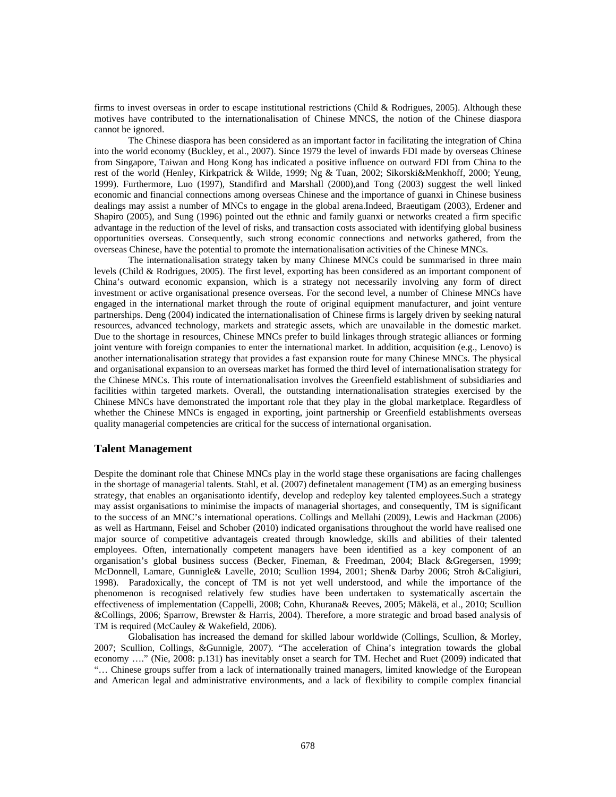firms to invest overseas in order to escape institutional restrictions (Child & Rodrigues, 2005). Although these motives have contributed to the internationalisation of Chinese MNCS, the notion of the Chinese diaspora cannot be ignored.

The Chinese diaspora has been considered as an important factor in facilitating the integration of China into the world economy (Buckley, et al., 2007). Since 1979 the level of inwards FDI made by overseas Chinese from Singapore, Taiwan and Hong Kong has indicated a positive influence on outward FDI from China to the rest of the world (Henley, Kirkpatrick & Wilde, 1999; Ng & Tuan, 2002; Sikorski&Menkhoff, 2000; Yeung, 1999). Furthermore, Luo (1997), Standifird and Marshall (2000),and Tong (2003) suggest the well linked economic and financial connections among overseas Chinese and the importance of guanxi in Chinese business dealings may assist a number of MNCs to engage in the global arena.Indeed, Braeutigam (2003), Erdener and Shapiro (2005), and Sung (1996) pointed out the ethnic and family guanxi or networks created a firm specific advantage in the reduction of the level of risks, and transaction costs associated with identifying global business opportunities overseas. Consequently, such strong economic connections and networks gathered, from the overseas Chinese, have the potential to promote the internationalisation activities of the Chinese MNCs.

The internationalisation strategy taken by many Chinese MNCs could be summarised in three main levels (Child & Rodrigues, 2005). The first level, exporting has been considered as an important component of China's outward economic expansion, which is a strategy not necessarily involving any form of direct investment or active organisational presence overseas. For the second level, a number of Chinese MNCs have engaged in the international market through the route of original equipment manufacturer, and joint venture partnerships. Deng (2004) indicated the internationalisation of Chinese firms is largely driven by seeking natural resources, advanced technology, markets and strategic assets, which are unavailable in the domestic market. Due to the shortage in resources, Chinese MNCs prefer to build linkages through strategic alliances or forming joint venture with foreign companies to enter the international market. In addition, acquisition (e.g., Lenovo) is another internationalisation strategy that provides a fast expansion route for many Chinese MNCs. The physical and organisational expansion to an overseas market has formed the third level of internationalisation strategy for the Chinese MNCs. This route of internationalisation involves the Greenfield establishment of subsidiaries and facilities within targeted markets. Overall, the outstanding internationalisation strategies exercised by the Chinese MNCs have demonstrated the important role that they play in the global marketplace. Regardless of whether the Chinese MNCs is engaged in exporting, joint partnership or Greenfield establishments overseas quality managerial competencies are critical for the success of international organisation.

# **Talent Management**

Despite the dominant role that Chinese MNCs play in the world stage these organisations are facing challenges in the shortage of managerial talents. Stahl, et al. (2007) definetalent management (TM) as an emerging business strategy, that enables an organisationto identify, develop and redeploy key talented employees.Such a strategy may assist organisations to minimise the impacts of managerial shortages, and consequently, TM is significant to the success of an MNC's international operations. Collings and Mellahi (2009), Lewis and Hackman (2006) as well as Hartmann, Feisel and Schober (2010) indicated organisations throughout the world have realised one major source of competitive advantageis created through knowledge, skills and abilities of their talented employees. Often, internationally competent managers have been identified as a key component of an organisation's global business success (Becker, Fineman, & Freedman, 2004; Black &Gregersen, 1999; McDonnell, Lamare, Gunnigle& Lavelle, 2010; Scullion 1994, 2001; Shen& Darby 2006; Stroh &Caligiuri, 1998). Paradoxically, the concept of TM is not yet well understood, and while the importance of the phenomenon is recognised relatively few studies have been undertaken to systematically ascertain the effectiveness of implementation (Cappelli, 2008; Cohn, Khurana& Reeves, 2005; Mäkelä, et al., 2010; Scullion &Collings, 2006; Sparrow, Brewster & Harris, 2004). Therefore, a more strategic and broad based analysis of TM is required (McCauley & Wakefield, 2006).

Globalisation has increased the demand for skilled labour worldwide (Collings, Scullion, & Morley, 2007; Scullion, Collings, &Gunnigle, 2007). "The acceleration of China's integration towards the global economy …." (Nie, 2008: p.131) has inevitably onset a search for TM. Hechet and Ruet (2009) indicated that "… Chinese groups suffer from a lack of internationally trained managers, limited knowledge of the European and American legal and administrative environments, and a lack of flexibility to compile complex financial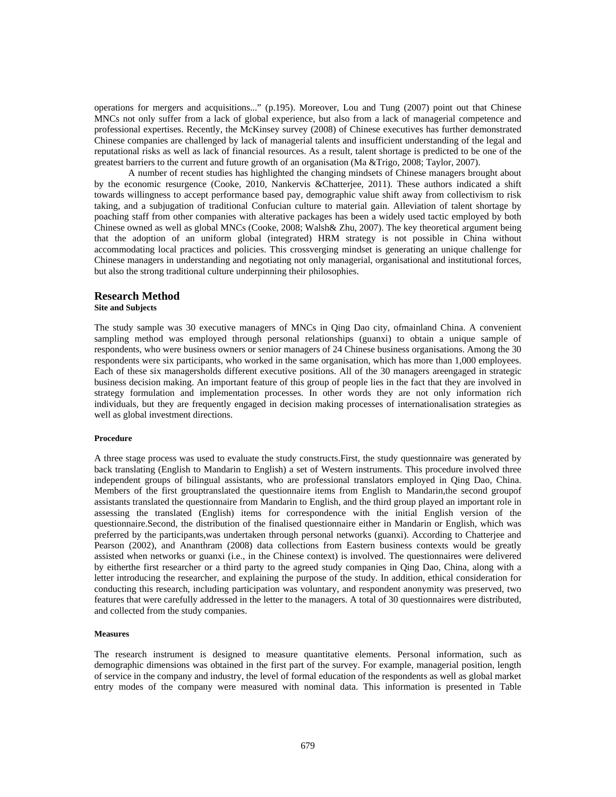operations for mergers and acquisitions..." (p.195). Moreover, Lou and Tung (2007) point out that Chinese MNCs not only suffer from a lack of global experience, but also from a lack of managerial competence and professional expertises. Recently, the McKinsey survey (2008) of Chinese executives has further demonstrated Chinese companies are challenged by lack of managerial talents and insufficient understanding of the legal and reputational risks as well as lack of financial resources. As a result, talent shortage is predicted to be one of the greatest barriers to the current and future growth of an organisation (Ma &Trigo, 2008; Taylor, 2007).

A number of recent studies has highlighted the changing mindsets of Chinese managers brought about by the economic resurgence (Cooke, 2010, Nankervis &Chatterjee, 2011). These authors indicated a shift towards willingness to accept performance based pay, demographic value shift away from collectivism to risk taking, and a subjugation of traditional Confucian culture to material gain. Alleviation of talent shortage by poaching staff from other companies with alterative packages has been a widely used tactic employed by both Chinese owned as well as global MNCs (Cooke, 2008; Walsh& Zhu, 2007). The key theoretical argument being that the adoption of an uniform global (integrated) HRM strategy is not possible in China without accommodating local practices and policies. This crossverging mindset is generating an unique challenge for Chinese managers in understanding and negotiating not only managerial, organisational and institutional forces, but also the strong traditional culture underpinning their philosophies.

# **Research Method**

**Site and Subjects** 

The study sample was 30 executive managers of MNCs in Qing Dao city, ofmainland China. A convenient sampling method was employed through personal relationships (guanxi) to obtain a unique sample of respondents, who were business owners or senior managers of 24 Chinese business organisations. Among the 30 respondents were six participants, who worked in the same organisation, which has more than 1,000 employees. Each of these six managersholds different executive positions. All of the 30 managers areengaged in strategic business decision making. An important feature of this group of people lies in the fact that they are involved in strategy formulation and implementation processes. In other words they are not only information rich individuals, but they are frequently engaged in decision making processes of internationalisation strategies as well as global investment directions.

#### **Procedure**

A three stage process was used to evaluate the study constructs.First, the study questionnaire was generated by back translating (English to Mandarin to English) a set of Western instruments. This procedure involved three independent groups of bilingual assistants, who are professional translators employed in Qing Dao, China. Members of the first grouptranslated the questionnaire items from English to Mandarin,the second groupof assistants translated the questionnaire from Mandarin to English, and the third group played an important role in assessing the translated (English) items for correspondence with the initial English version of the questionnaire.Second, the distribution of the finalised questionnaire either in Mandarin or English, which was preferred by the participants,was undertaken through personal networks (guanxi). According to Chatterjee and Pearson (2002), and Ananthram (2008) data collections from Eastern business contexts would be greatly assisted when networks or guanxi (i.e., in the Chinese context) is involved. The questionnaires were delivered by eitherthe first researcher or a third party to the agreed study companies in Qing Dao, China, along with a letter introducing the researcher, and explaining the purpose of the study. In addition, ethical consideration for conducting this research, including participation was voluntary, and respondent anonymity was preserved, two features that were carefully addressed in the letter to the managers. A total of 30 questionnaires were distributed, and collected from the study companies.

#### **Measures**

The research instrument is designed to measure quantitative elements. Personal information, such as demographic dimensions was obtained in the first part of the survey. For example, managerial position, length of service in the company and industry, the level of formal education of the respondents as well as global market entry modes of the company were measured with nominal data. This information is presented in Table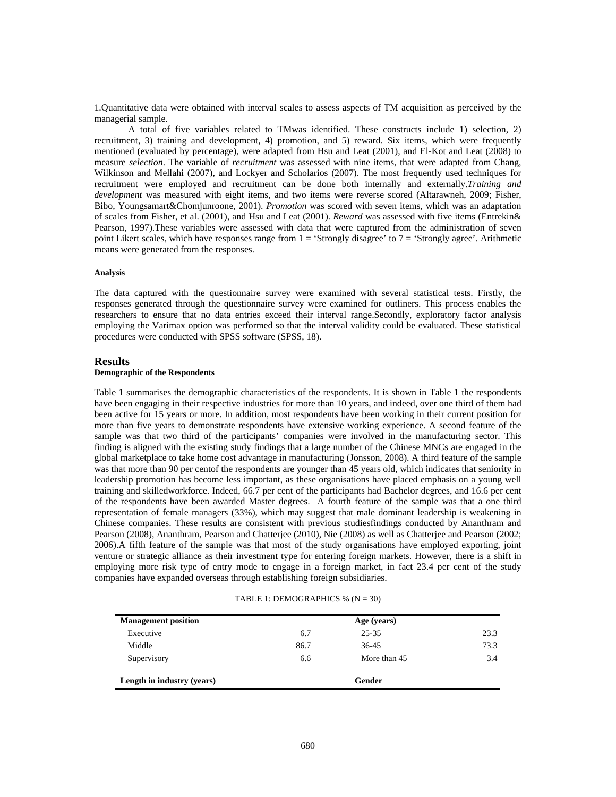1.Quantitative data were obtained with interval scales to assess aspects of TM acquisition as perceived by the managerial sample.

A total of five variables related to TMwas identified. These constructs include 1) selection, 2) recruitment, 3) training and development, 4) promotion, and 5) reward. Six items, which were frequently mentioned (evaluated by percentage), were adapted from Hsu and Leat (2001), and El-Kot and Leat (2008) to measure *selection*. The variable of *recruitment* was assessed with nine items, that were adapted from Chang, Wilkinson and Mellahi (2007), and Lockyer and Scholarios (2007). The most frequently used techniques for recruitment were employed and recruitment can be done both internally and externally.*Training and development* was measured with eight items, and two items were reverse scored (Altarawneh, 2009; Fisher, Bibo, Youngsamart&Chomjunroone, 2001). *Promotion* was scored with seven items, which was an adaptation of scales from Fisher, et al. (2001), and Hsu and Leat (2001). *Reward* was assessed with five items (Entrekin& Pearson, 1997).These variables were assessed with data that were captured from the administration of seven point Likert scales, which have responses range from  $1 = 'Strongly disagree'$  to  $7 = 'Strongly agree'$ . Arithmetic means were generated from the responses.

#### **Analysis**

The data captured with the questionnaire survey were examined with several statistical tests. Firstly, the responses generated through the questionnaire survey were examined for outliners. This process enables the researchers to ensure that no data entries exceed their interval range.Secondly, exploratory factor analysis employing the Varimax option was performed so that the interval validity could be evaluated. These statistical procedures were conducted with SPSS software (SPSS, 18).

#### **Results**

#### **Demographic of the Respondents**

Table 1 summarises the demographic characteristics of the respondents. It is shown in Table 1 the respondents have been engaging in their respective industries for more than 10 years, and indeed, over one third of them had been active for 15 years or more. In addition, most respondents have been working in their current position for more than five years to demonstrate respondents have extensive working experience. A second feature of the sample was that two third of the participants' companies were involved in the manufacturing sector. This finding is aligned with the existing study findings that a large number of the Chinese MNCs are engaged in the global marketplace to take home cost advantage in manufacturing (Jonsson, 2008). A third feature of the sample was that more than 90 per centof the respondents are younger than 45 years old, which indicates that seniority in leadership promotion has become less important, as these organisations have placed emphasis on a young well training and skilledworkforce. Indeed, 66.7 per cent of the participants had Bachelor degrees, and 16.6 per cent of the respondents have been awarded Master degrees. A fourth feature of the sample was that a one third representation of female managers (33%), which may suggest that male dominant leadership is weakening in Chinese companies. These results are consistent with previous studiesfindings conducted by Ananthram and Pearson (2008), Ananthram, Pearson and Chatterjee (2010), Nie (2008) as well as Chatterjee and Pearson (2002; 2006).A fifth feature of the sample was that most of the study organisations have employed exporting, joint venture or strategic alliance as their investment type for entering foreign markets. However, there is a shift in employing more risk type of entry mode to engage in a foreign market, in fact 23.4 per cent of the study companies have expanded overseas through establishing foreign subsidiaries.

| <b>Management</b> position |      | Age (years)  |      |
|----------------------------|------|--------------|------|
| Executive                  | 6.7  | 25-35        | 23.3 |
| Middle                     | 86.7 | 36-45        | 73.3 |
| Supervisory                | 6.6  | More than 45 | 3.4  |
| Length in industry (years) |      | Gender       |      |

|  | TABLE 1: DEMOGRAPHICS % $(N = 30)$ |  |  |  |
|--|------------------------------------|--|--|--|
|--|------------------------------------|--|--|--|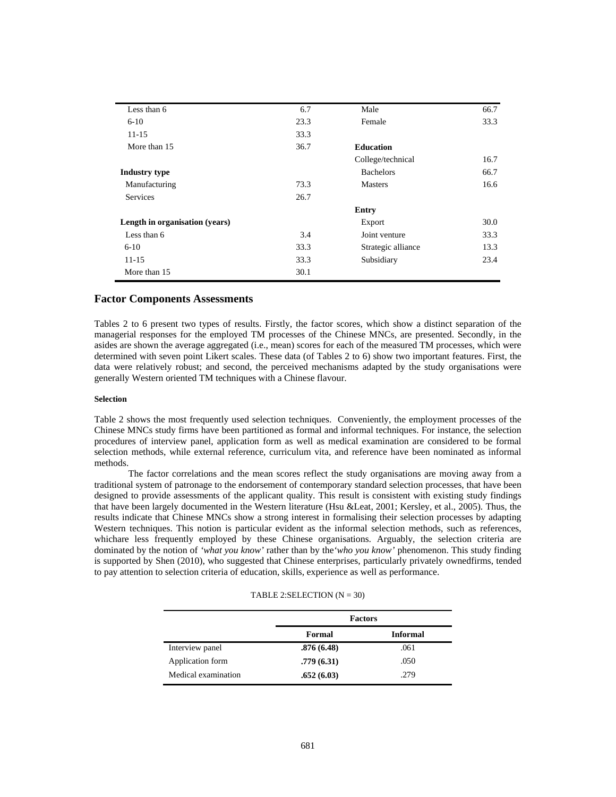| Less than 6                    | 6.7  | Male               | 66.7 |
|--------------------------------|------|--------------------|------|
| $6-10$                         | 23.3 | Female             | 33.3 |
| $11 - 15$                      | 33.3 |                    |      |
| More than 15                   | 36.7 | <b>Education</b>   |      |
|                                |      | College/technical  | 16.7 |
| <b>Industry type</b>           |      | <b>Bachelors</b>   | 66.7 |
| Manufacturing                  | 73.3 | <b>Masters</b>     | 16.6 |
| <b>Services</b>                | 26.7 |                    |      |
|                                |      | Entry              |      |
| Length in organisation (years) |      | Export             | 30.0 |
| Less than 6                    | 3.4  | Joint venture      | 33.3 |
| $6 - 10$                       | 33.3 | Strategic alliance | 13.3 |
| $11 - 15$                      | 33.3 | Subsidiary         | 23.4 |
| More than 15                   | 30.1 |                    |      |
|                                |      |                    |      |

# **Factor Components Assessments**

Tables 2 to 6 present two types of results. Firstly, the factor scores, which show a distinct separation of the managerial responses for the employed TM processes of the Chinese MNCs, are presented. Secondly, in the asides are shown the average aggregated (i.e., mean) scores for each of the measured TM processes, which were determined with seven point Likert scales. These data (of Tables 2 to 6) show two important features. First, the data were relatively robust; and second, the perceived mechanisms adapted by the study organisations were generally Western oriented TM techniques with a Chinese flavour.

## **Selection**

Table 2 shows the most frequently used selection techniques. Conveniently, the employment processes of the Chinese MNCs study firms have been partitioned as formal and informal techniques. For instance, the selection procedures of interview panel, application form as well as medical examination are considered to be formal selection methods, while external reference, curriculum vita, and reference have been nominated as informal methods.

The factor correlations and the mean scores reflect the study organisations are moving away from a traditional system of patronage to the endorsement of contemporary standard selection processes, that have been designed to provide assessments of the applicant quality. This result is consistent with existing study findings that have been largely documented in the Western literature (Hsu &Leat, 2001; Kersley, et al., 2005). Thus, the results indicate that Chinese MNCs show a strong interest in formalising their selection processes by adapting Western techniques. This notion is particular evident as the informal selection methods, such as references, whichare less frequently employed by these Chinese organisations. Arguably, the selection criteria are dominated by the notion of *'what you know'* rather than by the*'who you know'* phenomenon. This study finding is supported by Shen (2010), who suggested that Chinese enterprises, particularly privately ownedfirms, tended to pay attention to selection criteria of education, skills, experience as well as performance.

### TABLE 2: SELECTION  $(N = 30)$

|                     | <b>Factors</b> |                 |
|---------------------|----------------|-----------------|
|                     | Formal         | <b>Informal</b> |
| Interview panel     | .876(6.48)     | .061            |
| Application form    | .779(6.31)     | .050            |
| Medical examination | .652(6.03)     | .279            |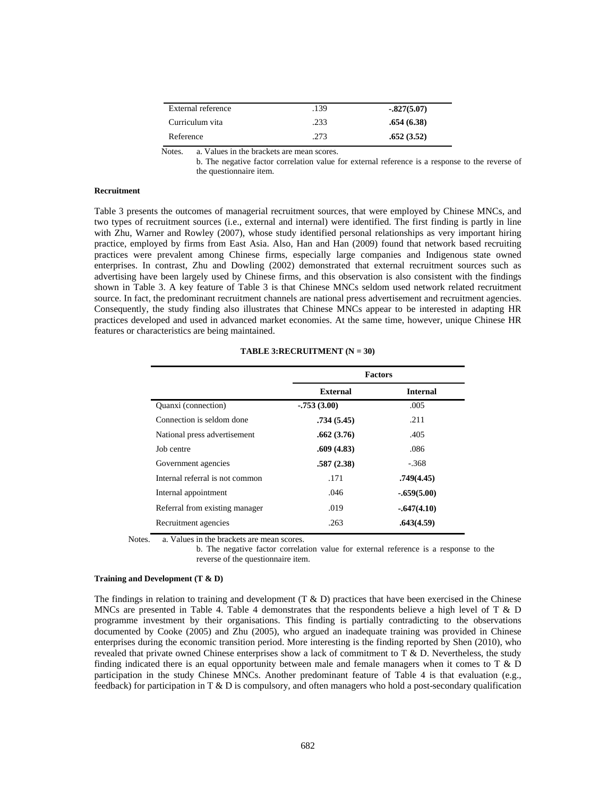| External reference | .139 | $-.827(5.07)$ |
|--------------------|------|---------------|
| Curriculum vita    | .233 | .654(6.38)    |
| Reference          | .273 | .652(3.52)    |

Notes. a. Values in the brackets are mean scores.

b. The negative factor correlation value for external reference is a response to the reverse of the questionnaire item.

### **Recruitment**

Table 3 presents the outcomes of managerial recruitment sources, that were employed by Chinese MNCs, and two types of recruitment sources (i.e., external and internal) were identified. The first finding is partly in line with Zhu, Warner and Rowley (2007), whose study identified personal relationships as very important hiring practice, employed by firms from East Asia. Also, Han and Han (2009) found that network based recruiting practices were prevalent among Chinese firms, especially large companies and Indigenous state owned enterprises. In contrast, Zhu and Dowling (2002) demonstrated that external recruitment sources such as advertising have been largely used by Chinese firms, and this observation is also consistent with the findings shown in Table 3. A key feature of Table 3 is that Chinese MNCs seldom used network related recruitment source. In fact, the predominant recruitment channels are national press advertisement and recruitment agencies. Consequently, the study finding also illustrates that Chinese MNCs appear to be interested in adapting HR practices developed and used in advanced market economies. At the same time, however, unique Chinese HR features or characteristics are being maintained.

|                                 | <b>Factors</b>  |                 |  |
|---------------------------------|-----------------|-----------------|--|
|                                 | <b>External</b> | <b>Internal</b> |  |
| Quanxi (connection)             | $-.753(3.00)$   | .005            |  |
| Connection is seldom done       | .734(5.45)      | .211            |  |
| National press advertisement    | .662(3.76)      | .405            |  |
| Job centre                      | .609(4.83)      | .086            |  |
| Government agencies             | .587(2.38)      | $-.368$         |  |
| Internal referral is not common | .171            | .749(4.45)      |  |
| Internal appointment            | .046            | $-.659(5.00)$   |  |
| Referral from existing manager  | .019            | $-.647(4.10)$   |  |
| Recruitment agencies            | .263            | .643(4.59)      |  |

**TABLE 3:RECRUITMENT (N = 30)** 

Notes. a. Values in the brackets are mean scores.

b. The negative factor correlation value for external reference is a response to the reverse of the questionnaire item.

#### **Training and Development (T & D)**

The findings in relation to training and development  $(T & D)$  practices that have been exercised in the Chinese MNCs are presented in Table 4. Table 4 demonstrates that the respondents believe a high level of T & D programme investment by their organisations. This finding is partially contradicting to the observations documented by Cooke (2005) and Zhu (2005), who argued an inadequate training was provided in Chinese enterprises during the economic transition period. More interesting is the finding reported by Shen (2010), who revealed that private owned Chinese enterprises show a lack of commitment to  $T \& D$ . Nevertheless, the study finding indicated there is an equal opportunity between male and female managers when it comes to  $T \& D$ participation in the study Chinese MNCs. Another predominant feature of Table 4 is that evaluation (e.g., feedback) for participation in T  $\&$  D is compulsory, and often managers who hold a post-secondary qualification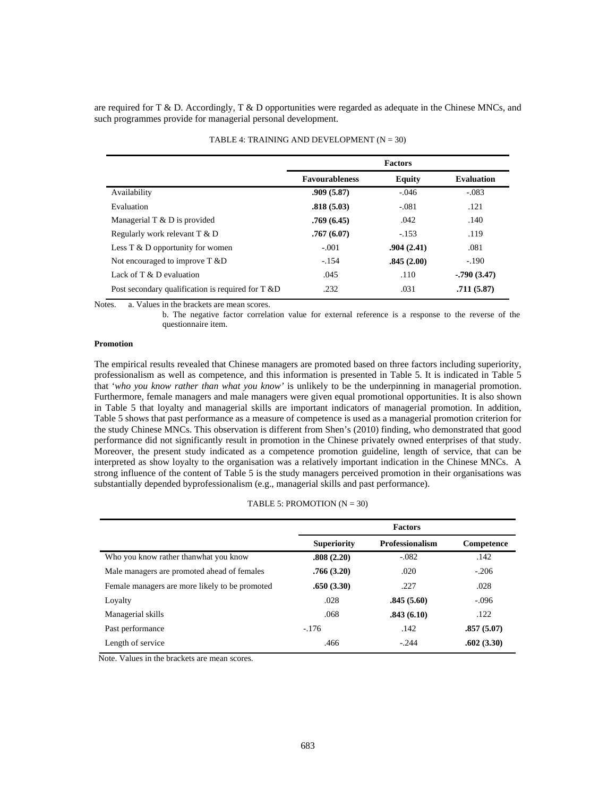are required for T & D. Accordingly, T & D opportunities were regarded as adequate in the Chinese MNCs, and such programmes provide for managerial personal development.

|                                                       | <b>Factors</b>        |               |                   |
|-------------------------------------------------------|-----------------------|---------------|-------------------|
|                                                       | <b>Favourableness</b> | <b>Equity</b> | <b>Evaluation</b> |
| Availability                                          | .909(5.87)            | $-.046$       | $-.083$           |
| Evaluation                                            | .818(5.03)            | $-.081$       | .121              |
| Managerial $T \& D$ is provided                       | .769(6.45)            | .042          | .140              |
| Regularly work relevant T & D                         | .767(6.07)            | $-153$        | .119              |
| Less $T \& D$ opportunity for women                   | $-.001$               | .904(2.41)    | .081              |
| Not encouraged to improve T &D                        | $-.154$               | .845(2.00)    | $-.190$           |
| Lack of $T \& D$ evaluation                           | .045                  | .110          | $-0.790(3.47)$    |
| Post secondary qualification is required for $T \& D$ | .232                  | .031          | .711(5.87)        |

# TABLE 4: TRAINING AND DEVELOPMENT  $(N = 30)$

Notes. a. Values in the brackets are mean scores.

b. The negative factor correlation value for external reference is a response to the reverse of the questionnaire item.

## **Promotion**

The empirical results revealed that Chinese managers are promoted based on three factors including superiority, professionalism as well as competence, and this information is presented in Table 5. It is indicated in Table 5 that '*who you know rather than what you know'* is unlikely to be the underpinning in managerial promotion. Furthermore, female managers and male managers were given equal promotional opportunities. It is also shown in Table 5 that loyalty and managerial skills are important indicators of managerial promotion. In addition, Table 5 shows that past performance as a measure of competence is used as a managerial promotion criterion for the study Chinese MNCs. This observation is different from Shen's (2010) finding, who demonstrated that good performance did not significantly result in promotion in the Chinese privately owned enterprises of that study. Moreover, the present study indicated as a competence promotion guideline, length of service, that can be interpreted as show loyalty to the organisation was a relatively important indication in the Chinese MNCs. A strong influence of the content of Table 5 is the study managers perceived promotion in their organisations was substantially depended byprofessionalism (e.g., managerial skills and past performance).

# TABLE 5: PROMOTION  $(N = 30)$

|                                                | <b>Factors</b>     |                        |            |
|------------------------------------------------|--------------------|------------------------|------------|
|                                                | <b>Superiority</b> | <b>Professionalism</b> | Competence |
| Who you know rather thanwhat you know          | .808(2.20)         | $-.082$                | .142       |
| Male managers are promoted ahead of females    | .766(3.20)         | .020                   | $-.206$    |
| Female managers are more likely to be promoted | .650(3.30)         | .227                   | .028       |
| Loyalty                                        | .028               | .845(5.60)             | $-.096$    |
| Managerial skills                              | .068               | .843(6.10)             | .122       |
| Past performance                               | $-.176$            | .142                   | .857(5.07) |
| Length of service                              | .466               | $-244$                 | .602(3.30) |

Note. Values in the brackets are mean scores.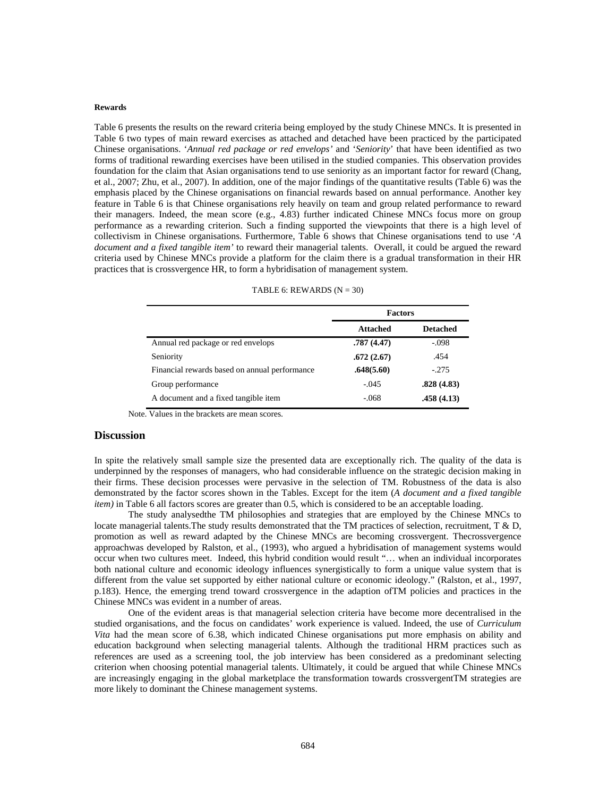#### **Rewards**

Table 6 presents the results on the reward criteria being employed by the study Chinese MNCs. It is presented in Table 6 two types of main reward exercises as attached and detached have been practiced by the participated Chinese organisations. '*Annual red package or red envelops'* and '*Seniority*' that have been identified as two forms of traditional rewarding exercises have been utilised in the studied companies. This observation provides foundation for the claim that Asian organisations tend to use seniority as an important factor for reward (Chang, et al., 2007; Zhu, et al., 2007). In addition, one of the major findings of the quantitative results (Table 6) was the emphasis placed by the Chinese organisations on financial rewards based on annual performance. Another key feature in Table 6 is that Chinese organisations rely heavily on team and group related performance to reward their managers. Indeed, the mean score (e.g., 4.83) further indicated Chinese MNCs focus more on group performance as a rewarding criterion. Such a finding supported the viewpoints that there is a high level of collectivism in Chinese organisations. Furthermore, Table 6 shows that Chinese organisations tend to use '*A document and a fixed tangible item'* to reward their managerial talents. Overall, it could be argued the reward criteria used by Chinese MNCs provide a platform for the claim there is a gradual transformation in their HR practices that is crossvergence HR, to form a hybridisation of management system.

|                                               | <b>Factors</b>  |                 |
|-----------------------------------------------|-----------------|-----------------|
|                                               | <b>Attached</b> | <b>Detached</b> |
| Annual red package or red envelops            | .787(4.47)      | $-.098$         |
| Seniority                                     | .672(2.67)      | .454            |
| Financial rewards based on annual performance | .648(5.60)      | $-275$          |
| Group performance                             | $-.045$         | .828(4.83)      |
| A document and a fixed tangible item          | $-.068$         | .458(4.13)      |

Note. Values in the brackets are mean scores.

## **Discussion**

In spite the relatively small sample size the presented data are exceptionally rich. The quality of the data is underpinned by the responses of managers, who had considerable influence on the strategic decision making in their firms. These decision processes were pervasive in the selection of TM. Robustness of the data is also demonstrated by the factor scores shown in the Tables. Except for the item (*A document and a fixed tangible item*) in Table 6 all factors scores are greater than 0.5, which is considered to be an acceptable loading.

The study analysedthe TM philosophies and strategies that are employed by the Chinese MNCs to locate managerial talents. The study results demonstrated that the TM practices of selection, recruitment, T & D, promotion as well as reward adapted by the Chinese MNCs are becoming crossvergent. Thecrossvergence approachwas developed by Ralston, et al., (1993), who argued a hybridisation of management systems would occur when two cultures meet. Indeed, this hybrid condition would result "… when an individual incorporates both national culture and economic ideology influences synergistically to form a unique value system that is different from the value set supported by either national culture or economic ideology." (Ralston, et al., 1997, p.183). Hence, the emerging trend toward crossvergence in the adaption ofTM policies and practices in the Chinese MNCs was evident in a number of areas.

One of the evident areas is that managerial selection criteria have become more decentralised in the studied organisations, and the focus on candidates' work experience is valued. Indeed, the use of *Curriculum Vita* had the mean score of 6.38, which indicated Chinese organisations put more emphasis on ability and education background when selecting managerial talents. Although the traditional HRM practices such as references are used as a screening tool, the job interview has been considered as a predominant selecting criterion when choosing potential managerial talents. Ultimately, it could be argued that while Chinese MNCs are increasingly engaging in the global marketplace the transformation towards crossvergentTM strategies are more likely to dominant the Chinese management systems.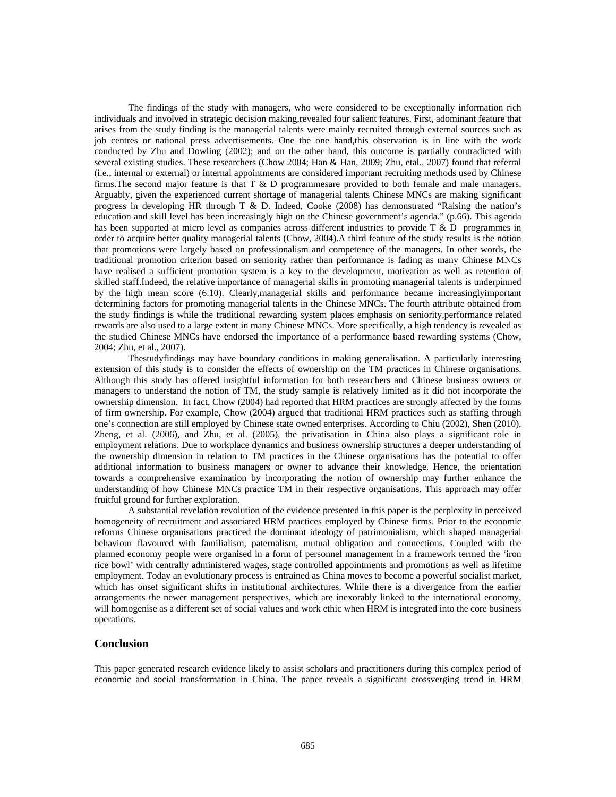The findings of the study with managers, who were considered to be exceptionally information rich individuals and involved in strategic decision making,revealed four salient features. First, adominant feature that arises from the study finding is the managerial talents were mainly recruited through external sources such as job centres or national press advertisements. One the one hand,this observation is in line with the work conducted by Zhu and Dowling (2002); and on the other hand, this outcome is partially contradicted with several existing studies. These researchers (Chow 2004; Han & Han, 2009; Zhu, etal., 2007) found that referral (i.e., internal or external) or internal appointments are considered important recruiting methods used by Chinese firms.The second major feature is that T & D programmesare provided to both female and male managers. Arguably, given the experienced current shortage of managerial talents Chinese MNCs are making significant progress in developing HR through T & D. Indeed, Cooke (2008) has demonstrated "Raising the nation's education and skill level has been increasingly high on the Chinese government's agenda." (p.66). This agenda has been supported at micro level as companies across different industries to provide T & D programmes in order to acquire better quality managerial talents (Chow, 2004).A third feature of the study results is the notion that promotions were largely based on professionalism and competence of the managers. In other words, the traditional promotion criterion based on seniority rather than performance is fading as many Chinese MNCs have realised a sufficient promotion system is a key to the development, motivation as well as retention of skilled staff.Indeed, the relative importance of managerial skills in promoting managerial talents is underpinned by the high mean score (6.10). Clearly,managerial skills and performance became increasinglyimportant determining factors for promoting managerial talents in the Chinese MNCs. The fourth attribute obtained from the study findings is while the traditional rewarding system places emphasis on seniority,performance related rewards are also used to a large extent in many Chinese MNCs. More specifically, a high tendency is revealed as the studied Chinese MNCs have endorsed the importance of a performance based rewarding systems (Chow, 2004; Zhu, et al., 2007).

Thestudyfindings may have boundary conditions in making generalisation. A particularly interesting extension of this study is to consider the effects of ownership on the TM practices in Chinese organisations. Although this study has offered insightful information for both researchers and Chinese business owners or managers to understand the notion of TM, the study sample is relatively limited as it did not incorporate the ownership dimension. In fact, Chow (2004) had reported that HRM practices are strongly affected by the forms of firm ownership. For example, Chow (2004) argued that traditional HRM practices such as staffing through one's connection are still employed by Chinese state owned enterprises. According to Chiu (2002), Shen (2010), Zheng, et al. (2006), and Zhu, et al. (2005), the privatisation in China also plays a significant role in employment relations. Due to workplace dynamics and business ownership structures a deeper understanding of the ownership dimension in relation to TM practices in the Chinese organisations has the potential to offer additional information to business managers or owner to advance their knowledge. Hence, the orientation towards a comprehensive examination by incorporating the notion of ownership may further enhance the understanding of how Chinese MNCs practice TM in their respective organisations. This approach may offer fruitful ground for further exploration.

A substantial revelation revolution of the evidence presented in this paper is the perplexity in perceived homogeneity of recruitment and associated HRM practices employed by Chinese firms. Prior to the economic reforms Chinese organisations practiced the dominant ideology of patrimonialism, which shaped managerial behaviour flavoured with familialism, paternalism, mutual obligation and connections. Coupled with the planned economy people were organised in a form of personnel management in a framework termed the 'iron rice bowl' with centrally administered wages, stage controlled appointments and promotions as well as lifetime employment. Today an evolutionary process is entrained as China moves to become a powerful socialist market, which has onset significant shifts in institutional architectures. While there is a divergence from the earlier arrangements the newer management perspectives, which are inexorably linked to the international economy, will homogenise as a different set of social values and work ethic when HRM is integrated into the core business operations.

# **Conclusion**

This paper generated research evidence likely to assist scholars and practitioners during this complex period of economic and social transformation in China. The paper reveals a significant crossverging trend in HRM